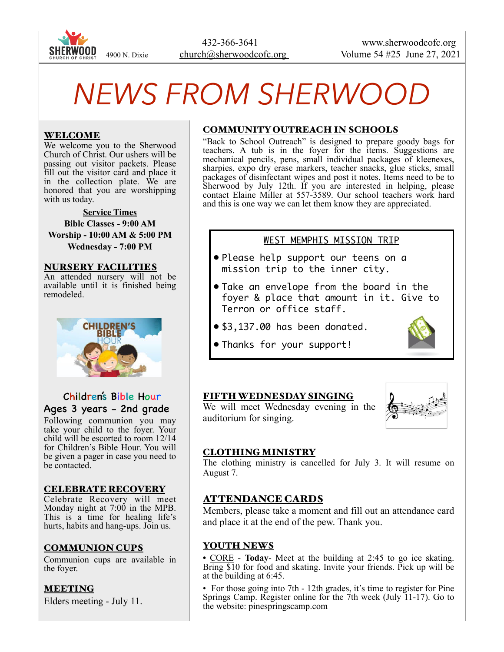

# *NEWS FROM SHERWOOD*

#### WELCOME

We welcome you to the Sherwood Church of Christ. Our ushers will be passing out visitor packets. Please fill out the visitor card and place it in the collection plate. We are honored that you are worshipping with us today.

**Service Times Bible Classes - 9:00 AM Worship - 10:00 AM & 5:00 PM Wednesday - 7:00 PM** 

#### NURSERY FACILITIES

An attended nursery will not be available until it is finished being remodeled.



# Children's Bible Hour Ages 3 years - 2nd grade

Following communion you may take your child to the foyer. Your child will be escorted to room 12/14 for Children's Bible Hour. You will be given a pager in case you need to be contacted.

#### CELEBRATE RECOVERY

Celebrate Recovery will meet Monday night at 7:00 in the MPB. This is a time for healing life's hurts, habits and hang-ups. Join us.

#### COMMUNION CUPS

Communion cups are available in the foyer.

#### MEETING

Elders meeting - July 11.

#### COMMUNITY OUTREACH IN SCHOOLS

"Back to School Outreach" is designed to prepare goody bags for teachers. A tub is in the foyer for the items. Suggestions are mechanical pencils, pens, small individual packages of kleenexes, sharpies, expo dry erase markers, teacher snacks, glue sticks, small packages of disinfectant wipes and post it notes. Items need to be to Sherwood by July 12th. If you are interested in helping, please contact Elaine Miller at 557-3589. Our school teachers work hard and this is one way we can let them know they are appreciated.

### WEST MEMPHIS MISSION TRIP

- Please help support our teens on a mission trip to the inner city.
- Take an envelope from the board in the foyer & place that amount in it. Give to Terron or office staff.
- \$3,137.00 has been donated.
- Thanks for your support!

#### FIFTH WEDNESDAY SINGING

We will meet Wednesday evening in the auditorium for singing.



#### CLOTHING MINISTRY

The clothing ministry is cancelled for July 3. It will resume on August 7.

#### ATTENDANCE CARDS

Members, please take a moment and fill out an attendance card and place it at the end of the pew. Thank you.

#### YOUTH NEWS

**•** CORE - **Today**- Meet at the building at 2:45 to go ice skating. Bring \$10 for food and skating. Invite your friends. Pick up will be at the building at 6:45.

• For those going into 7th - 12th grades, it's time to register for Pine Springs Camp. Register online for the 7th week (July 11-17). Go to the website: pinespringscamp.com